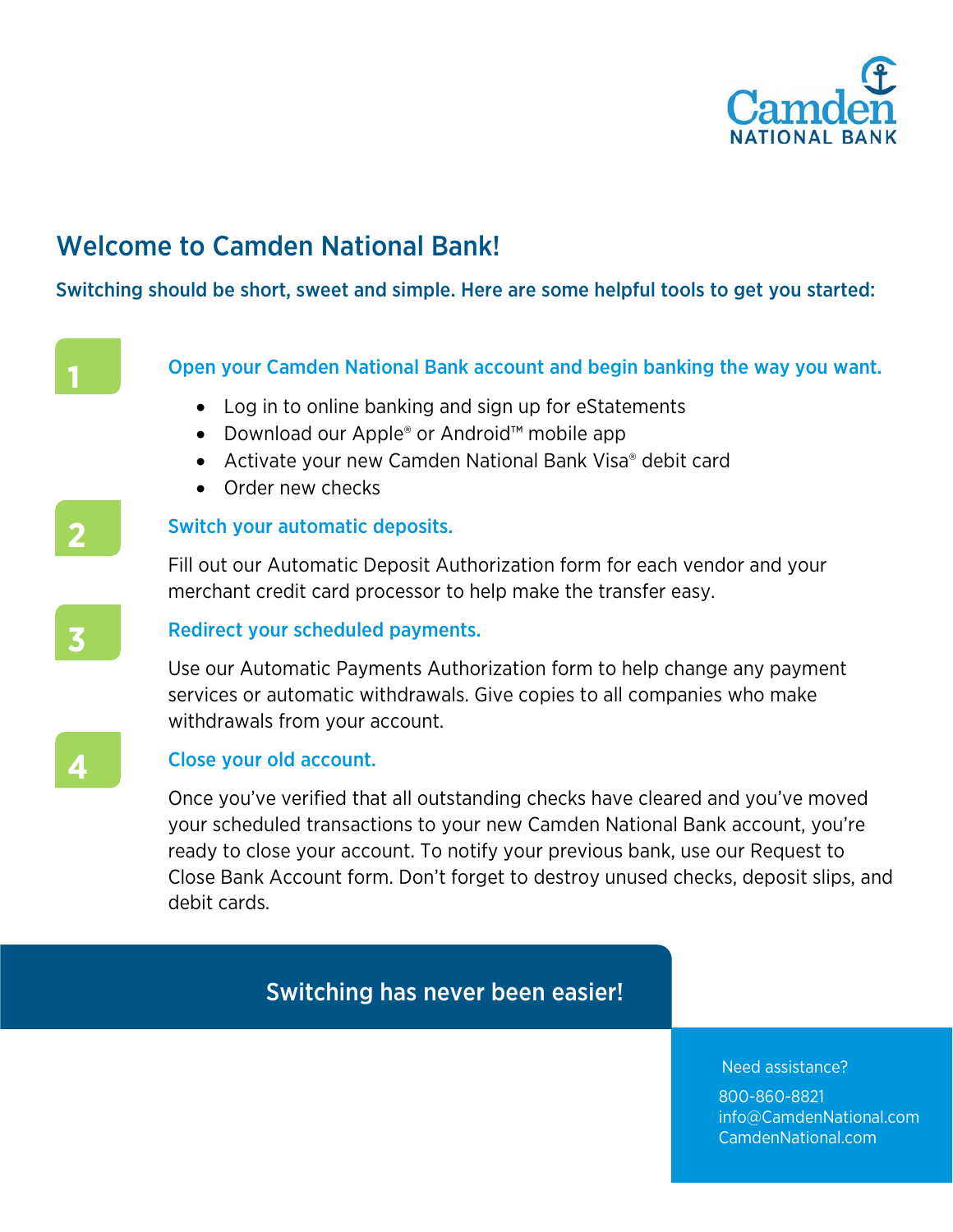

# Welcome to Camden National Bank!

Switching should be short, sweet and simple. Here are some helpful tools to get you started:

**1**

### Open your Camden National Bank account and begin banking the way you want.

- Log in to online banking and sign up for eStatements
- Download our Apple® or Android™ mobile app
- Activate your new Camden National Bank Visa® debit card
- Order new checks

## Switch your automatic deposits.

Fill out our Automatic Deposit Authorization form for each vendor and your merchant credit card processor to help make the transfer easy.



**2**

## Redirect your scheduled payments.

Use our Automatic Payments Authorization form to help change any payment services or automatic withdrawals. Give copies to all companies who make withdrawals from your account.



## Close your old account.

Once you've verified that all outstanding checks have cleared and you've moved your scheduled transactions to your new Camden National Bank account, you're ready to close your account. To notify your previous bank, use our Request to Close Bank Account form. Don't forget to destroy unused checks, deposit slips, and debit cards.

## Switching has never been easier!

Need assistance?

800-860-8821 info@CamdenNational.com CamdenNational.com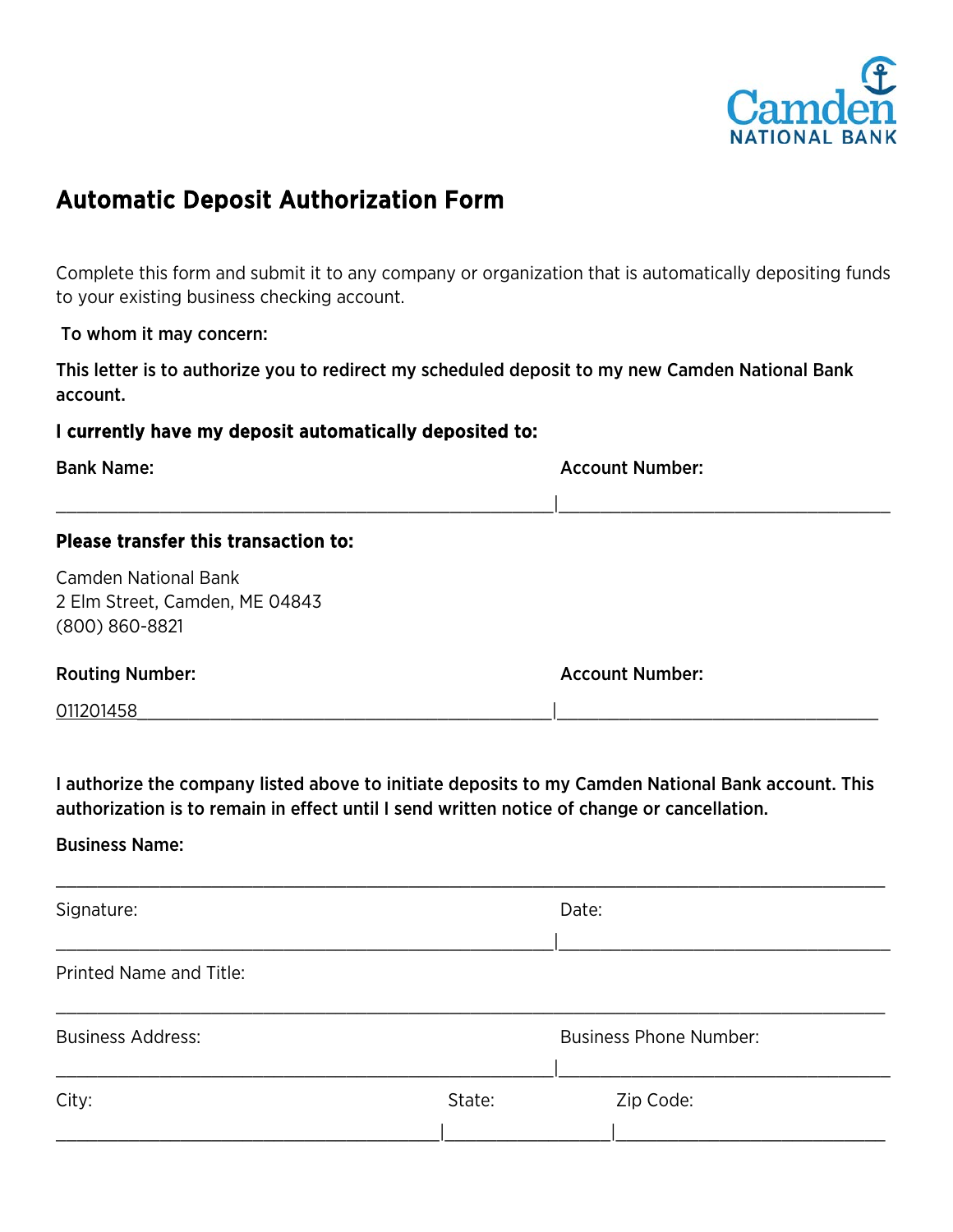

## Automatic Deposit Authorization Form

Complete this form and submit it to any company or organization that is automatically depositing funds to your existing business checking account.

To whom it may concern:

This letter is to authorize you to redirect my scheduled deposit to my new Camden National Bank account.

### I currently have my deposit automatically deposited to:

| <b>Bank Name:</b>                                                                   | <b>Account Number:</b> |
|-------------------------------------------------------------------------------------|------------------------|
| Please transfer this transaction to:                                                |                        |
| <b>Camden National Bank</b><br>2 Elm Street, Camden, ME 04843<br>$(800) 860 - 8821$ |                        |
| <b>Routing Number:</b>                                                              | <b>Account Number:</b> |
| 011201458                                                                           |                        |

I authorize the company listed above to initiate deposits to my Camden National Bank account. This authorization is to remain in effect until I send written notice of change or cancellation.

#### Business Name:

| Signature:               |        | Date:                         |  |
|--------------------------|--------|-------------------------------|--|
| Printed Name and Title:  |        |                               |  |
| <b>Business Address:</b> |        | <b>Business Phone Number:</b> |  |
| City:                    | State: | Zip Code:                     |  |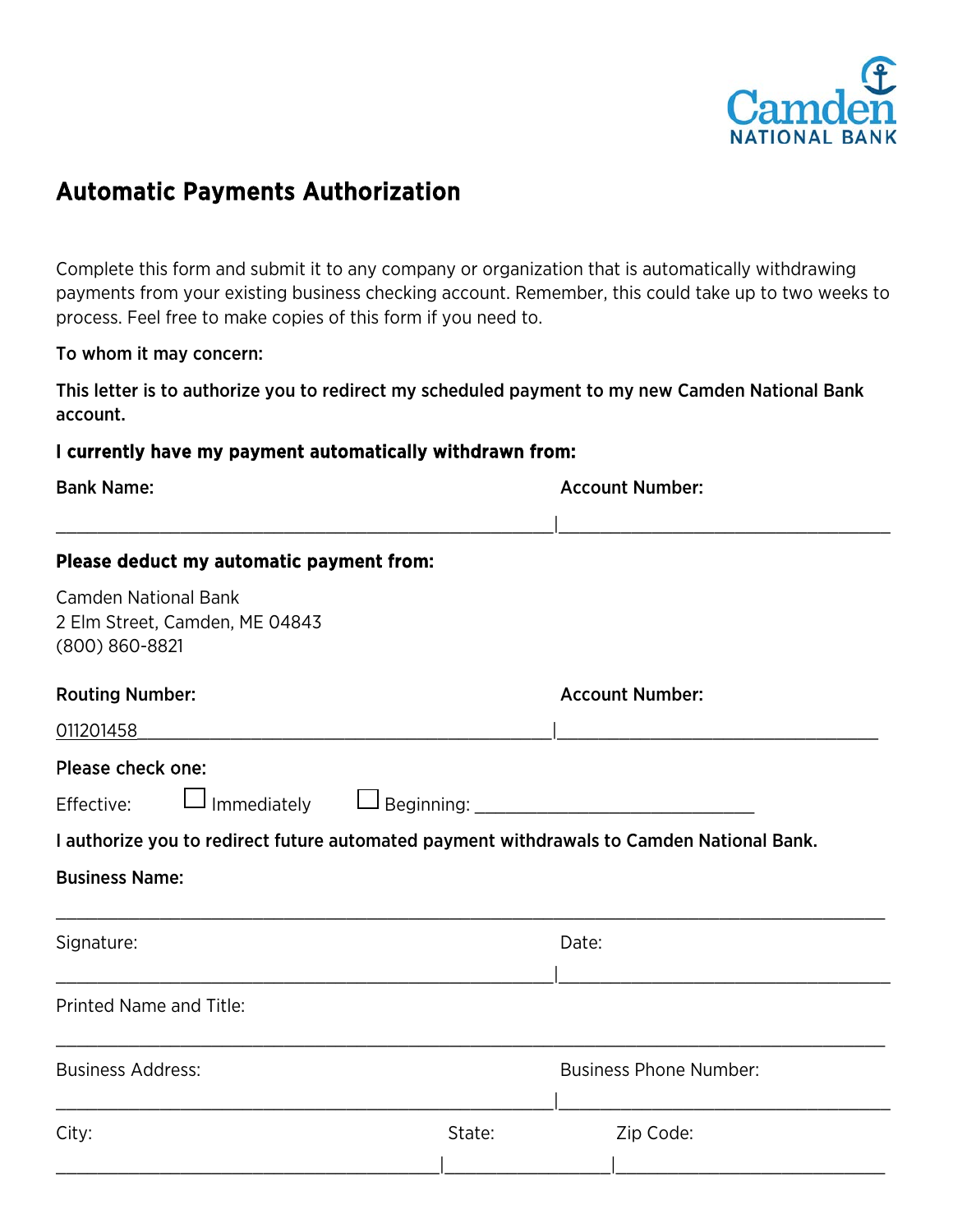

## Automatic Payments Authorization

Complete this form and submit it to any company or organization that is automatically withdrawing payments from your existing business checking account. Remember, this could take up to two weeks to process. Feel free to make copies of this form if you need to.

#### To whom it may concern:

This letter is to authorize you to redirect my scheduled payment to my new Camden National Bank account.

#### I currently have my payment automatically withdrawn from:

| <b>Bank Name:</b>                                                                                                            |        | <b>Account Number:</b>        |
|------------------------------------------------------------------------------------------------------------------------------|--------|-------------------------------|
| Please deduct my automatic payment from:                                                                                     |        |                               |
| <b>Camden National Bank</b><br>2 Elm Street, Camden, ME 04843<br>(800) 860-8821                                              |        |                               |
| <b>Routing Number:</b><br>011201458                                                                                          |        | <b>Account Number:</b>        |
| Please check one:<br>Effective:<br>I authorize you to redirect future automated payment withdrawals to Camden National Bank. |        |                               |
| <b>Business Name:</b>                                                                                                        |        |                               |
| Signature:                                                                                                                   |        | Date:                         |
| <b>Printed Name and Title:</b>                                                                                               |        |                               |
| <b>Business Address:</b>                                                                                                     |        | <b>Business Phone Number:</b> |
| City:                                                                                                                        | State: | Zip Code:                     |
|                                                                                                                              |        |                               |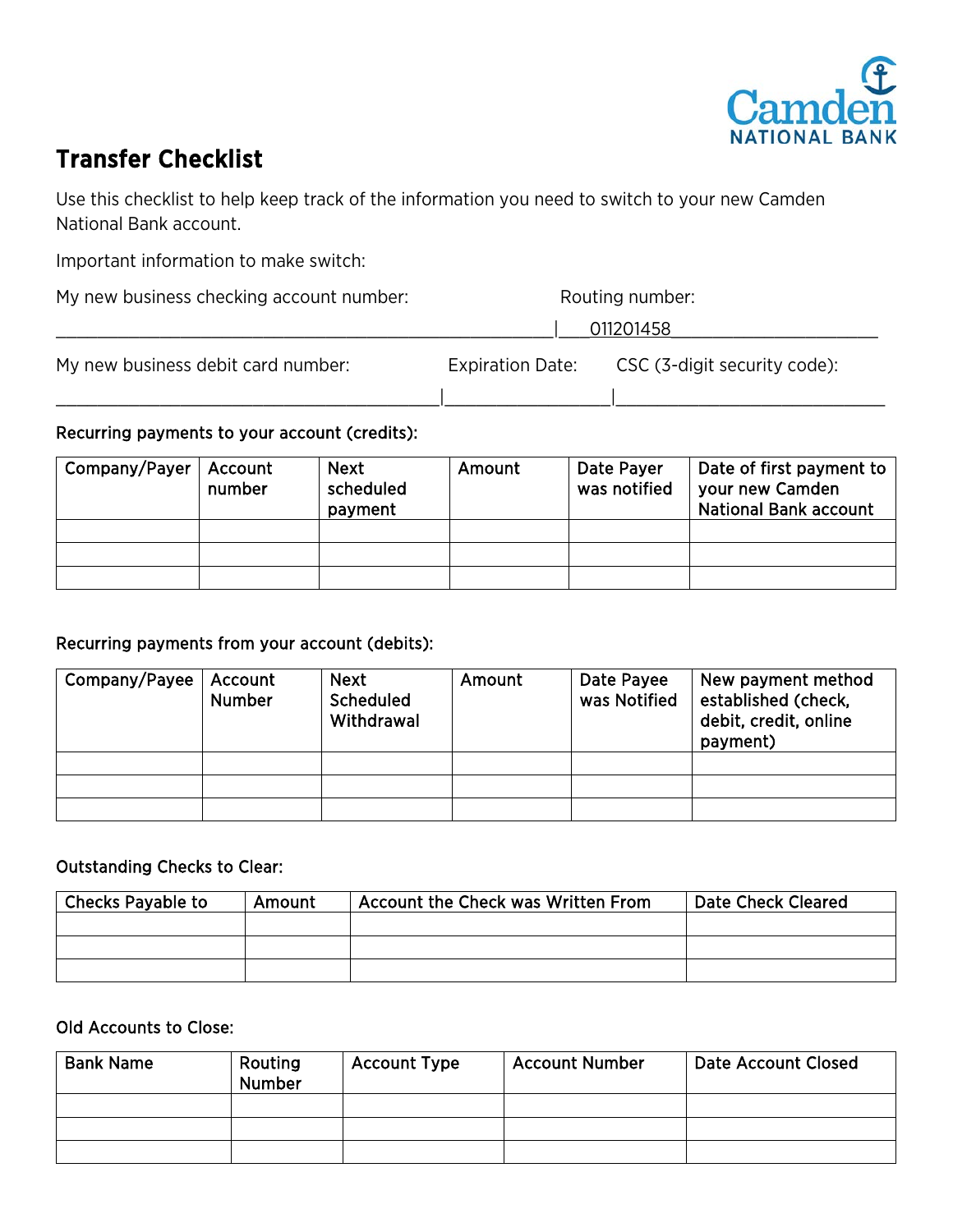

## Transfer Checklist

Use this checklist to help keep track of the information you need to switch to your new Camden National Bank account.

Important information to make switch:

| My new business checking account number: | Routing number:         |                              |
|------------------------------------------|-------------------------|------------------------------|
|                                          |                         | 011201458                    |
| My new business debit card number:       | <b>Expiration Date:</b> | CSC (3-digit security code): |

### Recurring payments to your account (credits):

| Company/Payer | Account<br>number | <b>Next</b><br>scheduled<br>payment | Amount | Date Payer<br>was notified | Date of first payment to<br>your new Camden<br><b>National Bank account</b> |
|---------------|-------------------|-------------------------------------|--------|----------------------------|-----------------------------------------------------------------------------|
|               |                   |                                     |        |                            |                                                                             |
|               |                   |                                     |        |                            |                                                                             |
|               |                   |                                     |        |                            |                                                                             |

### Recurring payments from your account (debits):

| Company/Payee | Account<br><b>Number</b> | <b>Next</b><br><b>Scheduled</b><br>Withdrawal | Amount | Date Payee<br>was Notified | New payment method<br>established (check,<br>debit, credit, online<br>payment) |
|---------------|--------------------------|-----------------------------------------------|--------|----------------------------|--------------------------------------------------------------------------------|
|               |                          |                                               |        |                            |                                                                                |
|               |                          |                                               |        |                            |                                                                                |
|               |                          |                                               |        |                            |                                                                                |

## Outstanding Checks to Clear:

| <b>Checks Payable to</b> | Amount | Account the Check was Written From | Date Check Cleared |
|--------------------------|--------|------------------------------------|--------------------|
|                          |        |                                    |                    |
|                          |        |                                    |                    |
|                          |        |                                    |                    |

### Old Accounts to Close:

| <b>Bank Name</b> | Routing<br>Number | <b>Account Type</b> | <b>Account Number</b> | <b>Date Account Closed</b> |
|------------------|-------------------|---------------------|-----------------------|----------------------------|
|                  |                   |                     |                       |                            |
|                  |                   |                     |                       |                            |
|                  |                   |                     |                       |                            |